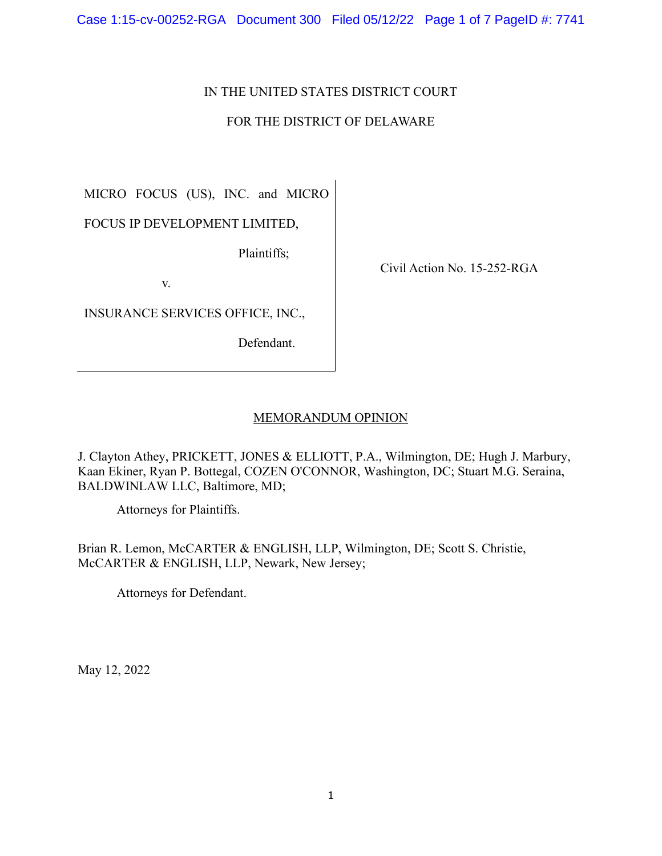Case 1:15-cv-00252-RGA Document 300 Filed 05/12/22 Page 1 of 7 PageID #: 7741

# IN THE UNITED STATES DISTRICT COURT

# FOR THE DISTRICT OF DELAWARE

MICRO FOCUS (US), INC. and MICRO

FOCUS IP DEVELOPMENT LIMITED,

Plaintiffs;

v.

INSURANCE SERVICES OFFICE, INC.,

Defendant.

Civil Action No. 15-252-RGA

## MEMORANDUM OPINION

J. Clayton Athey, PRICKETT, JONES & ELLIOTT, P.A., Wilmington, DE; Hugh J. Marbury, Kaan Ekiner, Ryan P. Bottegal, COZEN O'CONNOR, Washington, DC; Stuart M.G. Seraina, BALDWINLAW LLC, Baltimore, MD;

Attorneys for Plaintiffs.

Brian R. Lemon, McCARTER & ENGLISH, LLP, Wilmington, DE; Scott S. Christie, McCARTER & ENGLISH, LLP, Newark, New Jersey;

Attorneys for Defendant.

May 12, 2022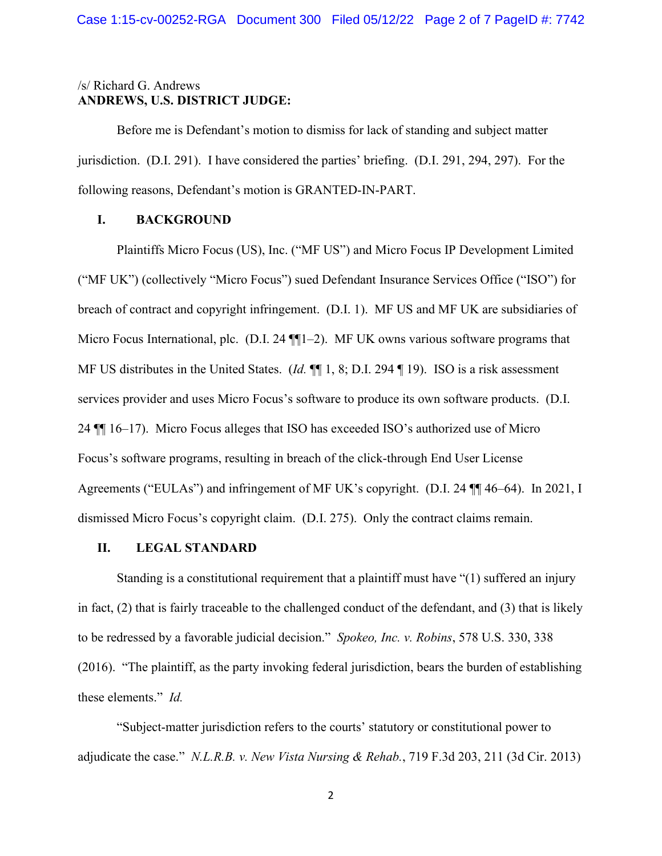## /s/ Richard G. Andrews **ANDREWS, U.S. DISTRICT JUDGE:**

Before me is Defendant's motion to dismiss for lack of standing and subject matter jurisdiction. (D.I. 291). I have considered the parties' briefing. (D.I. 291, 294, 297). For the following reasons, Defendant's motion is GRANTED-IN-PART.

## **I. BACKGROUND**

Plaintiffs Micro Focus (US), Inc. ("MF US") and Micro Focus IP Development Limited ("MF UK") (collectively "Micro Focus") sued Defendant Insurance Services Office ("ISO") for breach of contract and copyright infringement. (D.I. 1). MF US and MF UK are subsidiaries of Micro Focus International, plc. (D.I. 24 ¶[1–2). MF UK owns various software programs that MF US distributes in the United States. (*Id.* ¶¶ 1, 8; D.I. 294 ¶ 19). ISO is a risk assessment services provider and uses Micro Focus's software to produce its own software products. (D.I. 24 ¶¶ 16–17). Micro Focus alleges that ISO has exceeded ISO's authorized use of Micro Focus's software programs, resulting in breach of the click-through End User License Agreements ("EULAs") and infringement of MF UK's copyright. (D.I. 24 ¶¶ 46–64). In 2021, I dismissed Micro Focus's copyright claim. (D.I. 275). Only the contract claims remain.

## **II. LEGAL STANDARD**

Standing is a constitutional requirement that a plaintiff must have "(1) suffered an injury in fact, (2) that is fairly traceable to the challenged conduct of the defendant, and (3) that is likely to be redressed by a favorable judicial decision." *Spokeo, Inc. v. Robins*, 578 U.S. 330, 338 (2016). "The plaintiff, as the party invoking federal jurisdiction, bears the burden of establishing these elements." *Id.* 

"Subject-matter jurisdiction refers to the courts' statutory or constitutional power to adjudicate the case." *N.L.R.B. v. New Vista Nursing & Rehab.*, 719 F.3d 203, 211 (3d Cir. 2013)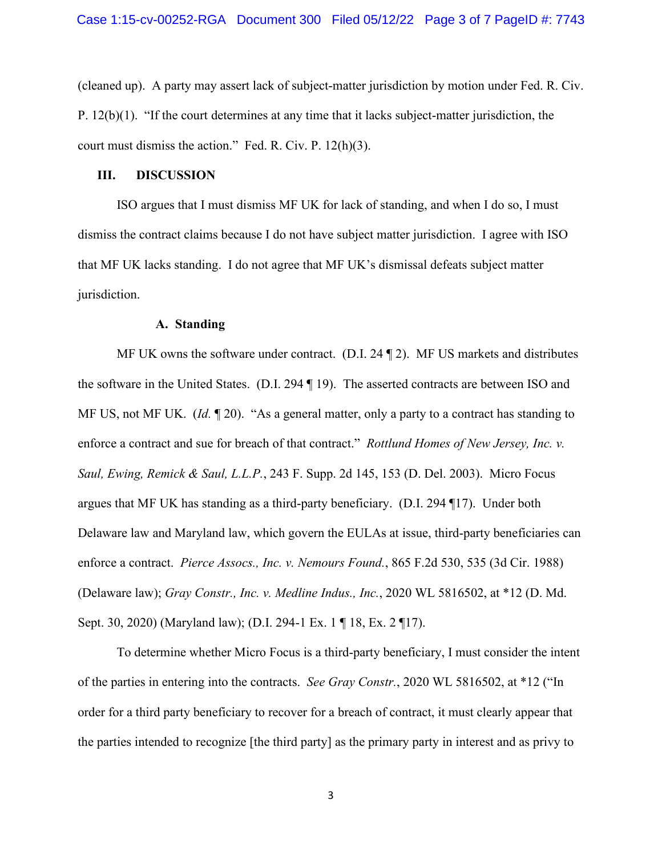(cleaned up). A party may assert lack of subject-matter jurisdiction by motion under Fed. R. Civ. P. 12(b)(1). "If the court determines at any time that it lacks subject-matter jurisdiction, the court must dismiss the action." Fed. R. Civ. P. 12(h)(3).

#### **III. DISCUSSION**

ISO argues that I must dismiss MF UK for lack of standing, and when I do so, I must dismiss the contract claims because I do not have subject matter jurisdiction. I agree with ISO that MF UK lacks standing. I do not agree that MF UK's dismissal defeats subject matter jurisdiction.

#### **A. Standing**

MF UK owns the software under contract. (D.I. 24 ¶ 2). MF US markets and distributes the software in the United States. (D.I. 294 ¶ 19). The asserted contracts are between ISO and MF US, not MF UK. (*Id.* ¶ 20). "As a general matter, only a party to a contract has standing to enforce a contract and sue for breach of that contract." *Rottlund Homes of New Jersey, Inc. v. Saul, Ewing, Remick & Saul, L.L.P.*, 243 F. Supp. 2d 145, 153 (D. Del. 2003). Micro Focus argues that MF UK has standing as a third-party beneficiary. (D.I. 294 ¶17). Under both Delaware law and Maryland law, which govern the EULAs at issue, third-party beneficiaries can enforce a contract. *Pierce Assocs., Inc. v. Nemours Found.*, 865 F.2d 530, 535 (3d Cir. 1988) (Delaware law); *Gray Constr., Inc. v. Medline Indus., Inc.*, 2020 WL 5816502, at \*12 (D. Md. Sept. 30, 2020) (Maryland law); (D.I. 294-1 Ex. 1 ¶ 18, Ex. 2 ¶17).

To determine whether Micro Focus is a third-party beneficiary, I must consider the intent of the parties in entering into the contracts. *See Gray Constr.*, 2020 WL 5816502, at \*12 ("In order for a third party beneficiary to recover for a breach of contract, it must clearly appear that the parties intended to recognize [the third party] as the primary party in interest and as privy to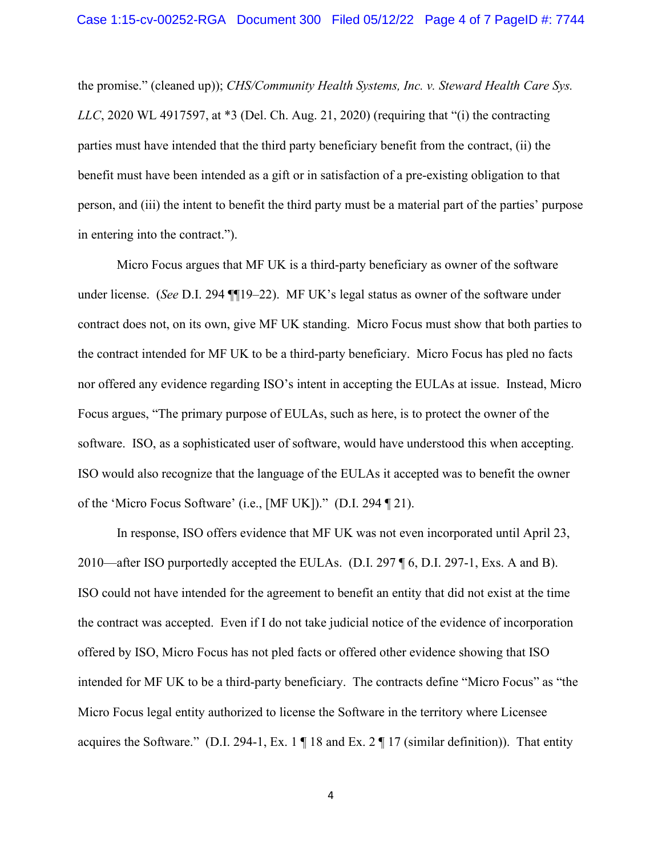the promise." (cleaned up)); *CHS/Community Health Systems, Inc. v. Steward Health Care Sys. LLC*, 2020 WL 4917597, at \*3 (Del. Ch. Aug. 21, 2020) (requiring that "(i) the contracting parties must have intended that the third party beneficiary benefit from the contract, (ii) the benefit must have been intended as a gift or in satisfaction of a pre-existing obligation to that person, and (iii) the intent to benefit the third party must be a material part of the parties' purpose in entering into the contract.").

Micro Focus argues that MF UK is a third-party beneficiary as owner of the software under license. (*See* D.I. 294 ¶¶19–22). MF UK's legal status as owner of the software under contract does not, on its own, give MF UK standing. Micro Focus must show that both parties to the contract intended for MF UK to be a third-party beneficiary. Micro Focus has pled no facts nor offered any evidence regarding ISO's intent in accepting the EULAs at issue. Instead, Micro Focus argues, "The primary purpose of EULAs, such as here, is to protect the owner of the software. ISO, as a sophisticated user of software, would have understood this when accepting. ISO would also recognize that the language of the EULAs it accepted was to benefit the owner of the 'Micro Focus Software' (i.e., [MF UK])." (D.I. 294 ¶ 21).

In response, ISO offers evidence that MF UK was not even incorporated until April 23, 2010—after ISO purportedly accepted the EULAs. (D.I. 297 ¶ 6, D.I. 297-1, Exs. A and B). ISO could not have intended for the agreement to benefit an entity that did not exist at the time the contract was accepted. Even if I do not take judicial notice of the evidence of incorporation offered by ISO, Micro Focus has not pled facts or offered other evidence showing that ISO intended for MF UK to be a third-party beneficiary. The contracts define "Micro Focus" as "the Micro Focus legal entity authorized to license the Software in the territory where Licensee acquires the Software." (D.I. 294-1, Ex. 1 ¶ 18 and Ex. 2 ¶ 17 (similar definition)). That entity

4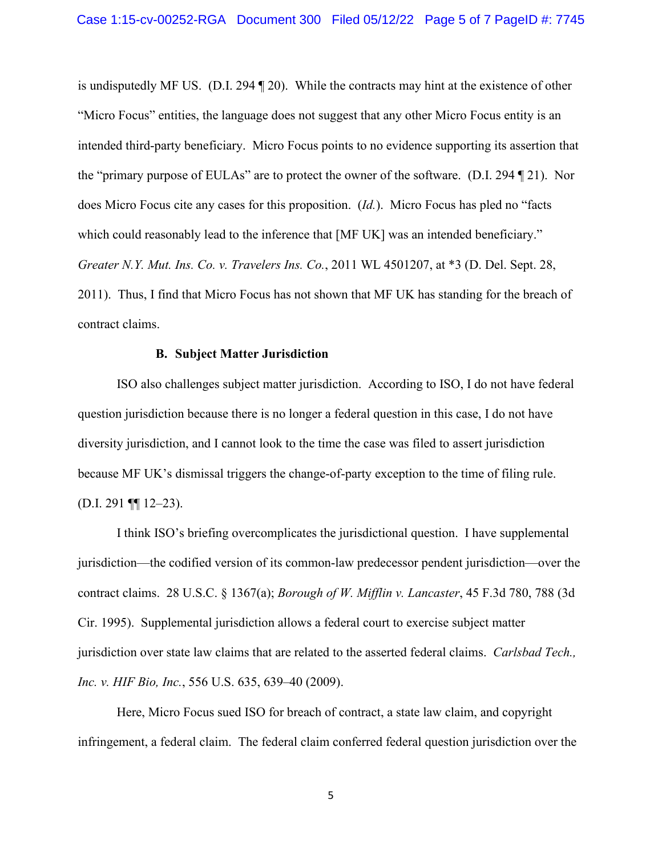is undisputedly MF US. (D.I. 294 ¶ 20). While the contracts may hint at the existence of other "Micro Focus" entities, the language does not suggest that any other Micro Focus entity is an intended third-party beneficiary. Micro Focus points to no evidence supporting its assertion that the "primary purpose of EULAs" are to protect the owner of the software. (D.I. 294 ¶ 21). Nor does Micro Focus cite any cases for this proposition. (*Id.*). Micro Focus has pled no "facts which could reasonably lead to the inference that [MF UK] was an intended beneficiary." *Greater N.Y. Mut. Ins. Co. v. Travelers Ins. Co.*, 2011 WL 4501207, at \*3 (D. Del. Sept. 28, 2011). Thus, I find that Micro Focus has not shown that MF UK has standing for the breach of contract claims.

## **B. Subject Matter Jurisdiction**

ISO also challenges subject matter jurisdiction. According to ISO, I do not have federal question jurisdiction because there is no longer a federal question in this case, I do not have diversity jurisdiction, and I cannot look to the time the case was filed to assert jurisdiction because MF UK's dismissal triggers the change-of-party exception to the time of filing rule. (D.I. 291 ¶¶ 12–23).

I think ISO's briefing overcomplicates the jurisdictional question. I have supplemental jurisdiction—the codified version of its common-law predecessor pendent jurisdiction—over the contract claims. 28 U.S.C. § 1367(a); *Borough of W. Mifflin v. Lancaster*, 45 F.3d 780, 788 (3d Cir. 1995). Supplemental jurisdiction allows a federal court to exercise subject matter jurisdiction over state law claims that are related to the asserted federal claims. *Carlsbad Tech., Inc. v. HIF Bio, Inc.*, 556 U.S. 635, 639–40 (2009).

Here, Micro Focus sued ISO for breach of contract, a state law claim, and copyright infringement, a federal claim. The federal claim conferred federal question jurisdiction over the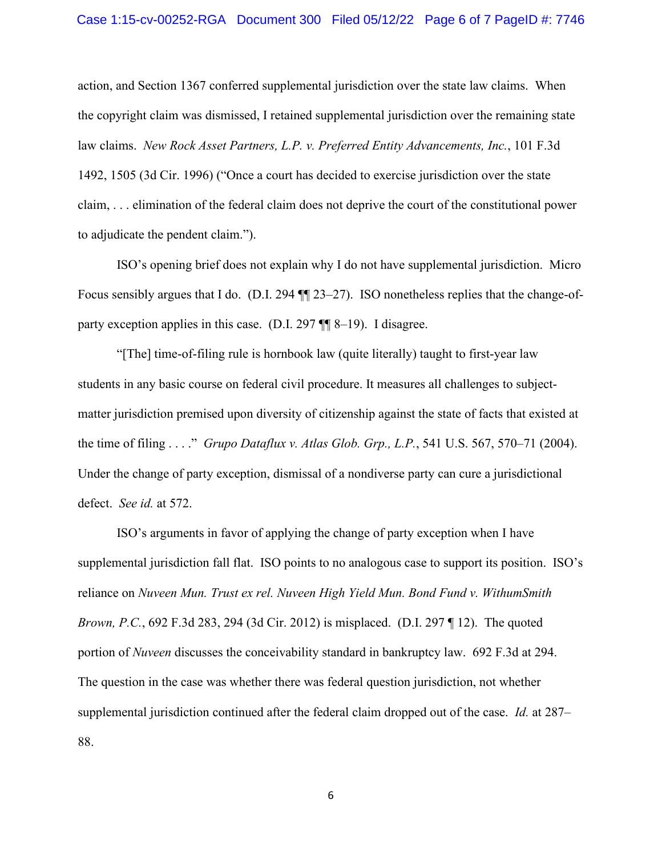action, and Section 1367 conferred supplemental jurisdiction over the state law claims. When the copyright claim was dismissed, I retained supplemental jurisdiction over the remaining state law claims. *New Rock Asset Partners, L.P. v. Preferred Entity Advancements, Inc.*, 101 F.3d 1492, 1505 (3d Cir. 1996) ("Once a court has decided to exercise jurisdiction over the state claim, . . . elimination of the federal claim does not deprive the court of the constitutional power to adjudicate the pendent claim.").

ISO's opening brief does not explain why I do not have supplemental jurisdiction. Micro Focus sensibly argues that I do. (D.I. 294 ¶¶ 23–27). ISO nonetheless replies that the change-ofparty exception applies in this case. (D.I. 297 ¶¶ 8–19). I disagree.

"[The] time-of-filing rule is hornbook law (quite literally) taught to first-year law students in any basic course on federal civil procedure. It measures all challenges to subjectmatter jurisdiction premised upon diversity of citizenship against the state of facts that existed at the time of filing . . . ." *Grupo Dataflux v. Atlas Glob. Grp., L.P.*, 541 U.S. 567, 570–71 (2004). Under the change of party exception, dismissal of a nondiverse party can cure a jurisdictional defect. *See id.* at 572.

ISO's arguments in favor of applying the change of party exception when I have supplemental jurisdiction fall flat. ISO points to no analogous case to support its position. ISO's reliance on *Nuveen Mun. Trust ex rel. Nuveen High Yield Mun. Bond Fund v. WithumSmith Brown, P.C.*, 692 F.3d 283, 294 (3d Cir. 2012) is misplaced. (D.I. 297 | 12). The quoted portion of *Nuveen* discusses the conceivability standard in bankruptcy law. 692 F.3d at 294. The question in the case was whether there was federal question jurisdiction, not whether supplemental jurisdiction continued after the federal claim dropped out of the case. *Id.* at 287– 88.

6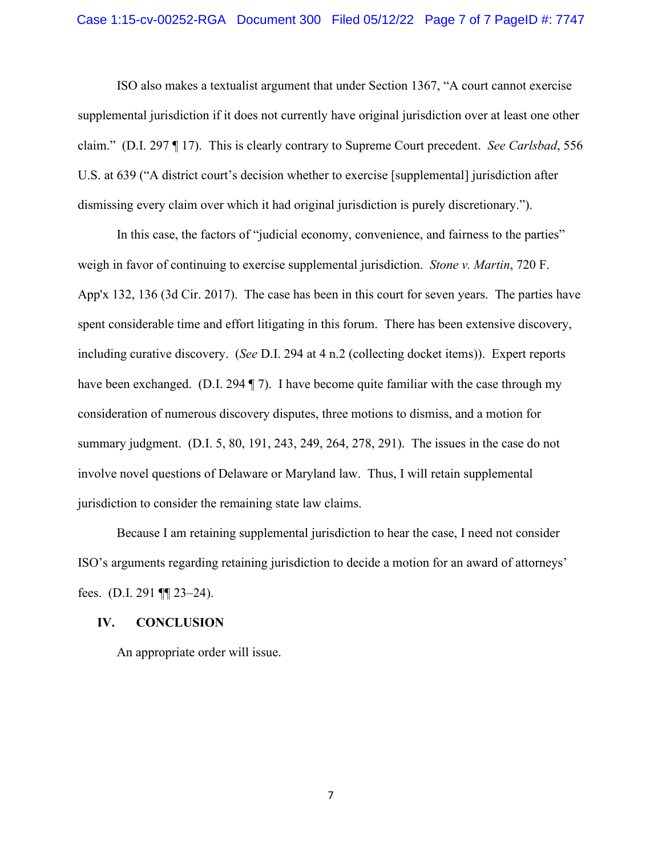ISO also makes a textualist argument that under Section 1367, "A court cannot exercise supplemental jurisdiction if it does not currently have original jurisdiction over at least one other claim." (D.I. 297 ¶ 17). This is clearly contrary to Supreme Court precedent. *See Carlsbad*, 556 U.S. at 639 ("A district court's decision whether to exercise [supplemental] jurisdiction after dismissing every claim over which it had original jurisdiction is purely discretionary.").

In this case, the factors of "judicial economy, convenience, and fairness to the parties" weigh in favor of continuing to exercise supplemental jurisdiction. *Stone v. Martin*, 720 F. App'x 132, 136 (3d Cir. 2017). The case has been in this court for seven years. The parties have spent considerable time and effort litigating in this forum. There has been extensive discovery, including curative discovery. (*See* D.I. 294 at 4 n.2 (collecting docket items)). Expert reports have been exchanged. (D.I. 294 ¶ 7). I have become quite familiar with the case through my consideration of numerous discovery disputes, three motions to dismiss, and a motion for summary judgment. (D.I. 5, 80, 191, 243, 249, 264, 278, 291). The issues in the case do not involve novel questions of Delaware or Maryland law. Thus, I will retain supplemental jurisdiction to consider the remaining state law claims.

Because I am retaining supplemental jurisdiction to hear the case, I need not consider ISO's arguments regarding retaining jurisdiction to decide a motion for an award of attorneys' fees. (D.I. 291 ¶¶ 23–24).

### **IV. CONCLUSION**

An appropriate order will issue.